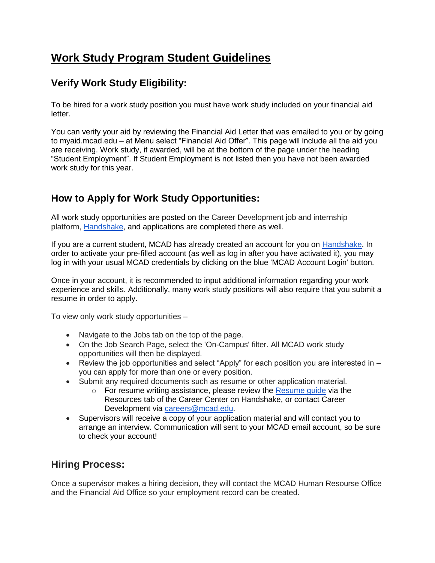# **Work Study Program Student Guidelines**

# **Verify Work Study Eligibility:**

To be hired for a work study position you must have work study included on your financial aid letter.

You can verify your aid by reviewing the Financial Aid Letter that was emailed to you or by going to myaid.mcad.edu – at Menu select "Financial Aid Offer". This page will include all the aid you are receiving. Work study, if awarded, will be at the bottom of the page under the heading "Student Employment". If Student Employment is not listed then you have not been awarded work study for this year.

## **How to Apply for Work Study Opportunities:**

All work study opportunities are posted on the Career Development job and internship platform, [Handshake,](http://mcad.joinhandshake.com/) and applications are completed there as well.

If you are a current student, MCAD has already created an account for you on [Handshake.](http://mcad.joinhandshake.com/) In order to activate your pre-filled account (as well as log in after you have activated it), you may log in with your usual MCAD credentials by clicking on the blue 'MCAD Account Login' button.

Once in your account, it is recommended to input additional information regarding your work experience and skills. Additionally, many work study positions will also require that you submit a resume in order to apply.

To view only work study opportunities –

- Navigate to the Jobs tab on the top of the page.
- On the Job Search Page, select the 'On-Campus' filter. All MCAD work study opportunities will then be displayed.
- Review the job opportunities and select "Apply" for each position you are interested in you can apply for more than one or every position.
- Submit any required documents such as resume or other application material.
	- $\circ$  For resume writing assistance, please review the [Resume guide](https://mcad.joinhandshake.com/articles/14962) via the Resources tab of the Career Center on Handshake, or contact Career Development via [careers@mcad.edu.](mailto:careers@mcad.edu)
- Supervisors will receive a copy of your application material and will contact you to arrange an interview. Communication will sent to your MCAD email account, so be sure to check your account!

### **Hiring Process:**

Once a supervisor makes a hiring decision, they will contact the MCAD Human Resourse Office and the Financial Aid Office so your employment record can be created.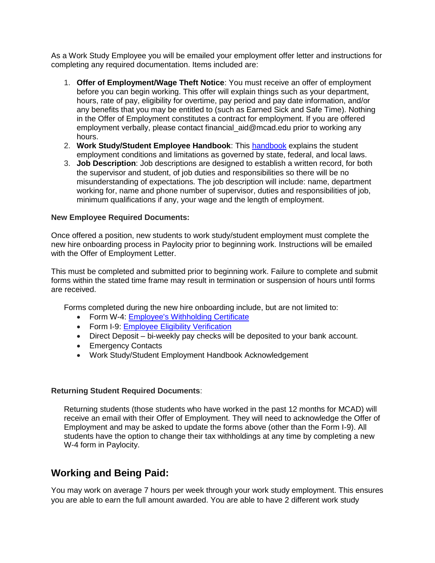As a Work Study Employee you will be emailed your employment offer letter and instructions for completing any required documentation. Items included are:

- 1. **Offer of Employment/Wage Theft Notice**: You must receive an offer of employment before you can begin working. This offer will explain things such as your department, hours, rate of pay, eligibility for overtime, pay period and pay date information, and/or any benefits that you may be entitled to (such as Earned Sick and Safe Time). Nothing in the Offer of Employment constitutes a contract for employment. If you are offered employment verbally, please contact financial\_aid@mcad.edu prior to working any hours.
- 2. **Work Study/Student Employee Handbook**: This [handbook](https://intranet.mcad.edu/sites/default/files/resources/2020-2021_mcad_work_study_student_employment_handbook.pdf) explains the student employment conditions and limitations as governed by state, federal, and local laws.
- 3. **Job Description**: Job descriptions are designed to establish a written record, for both the supervisor and student, of job duties and responsibilities so there will be no misunderstanding of expectations. The job description will include: name, department working for, name and phone number of supervisor, duties and responsibilities of job, minimum qualifications if any, your wage and the length of employment.

#### **New Employee Required Documents:**

Once offered a position, new students to work study/student employment must complete the new hire onboarding process in Paylocity prior to beginning work. Instructions will be emailed with the Offer of Employment Letter.

This must be completed and submitted prior to beginning work. Failure to complete and submit forms within the stated time frame may result in termination or suspension of hours until forms are received.

Forms completed during the new hire onboarding include, but are not limited to:

- Form W-4: [Employee's Withholding Certificate](https://www.irs.gov/pub/irs-pdf/fw4.pdf)
- Form I-9: [Employee Eligibility Verification](https://www.uscis.gov/i-9)
- Direct Deposit bi-weekly pay checks will be deposited to your bank account.
- Emergency Contacts
- Work Study/Student Employment Handbook Acknowledgement

#### **Returning Student Required Documents**:

Returning students (those students who have worked in the past 12 months for MCAD) will receive an email with their Offer of Employment. They will need to acknowledge the Offer of Employment and may be asked to update the forms above (other than the Form I-9). All students have the option to change their tax withholdings at any time by completing a new W-4 form in Paylocity.

### **Working and Being Paid:**

You may work on average 7 hours per week through your work study employment. This ensures you are able to earn the full amount awarded. You are able to have 2 different work study